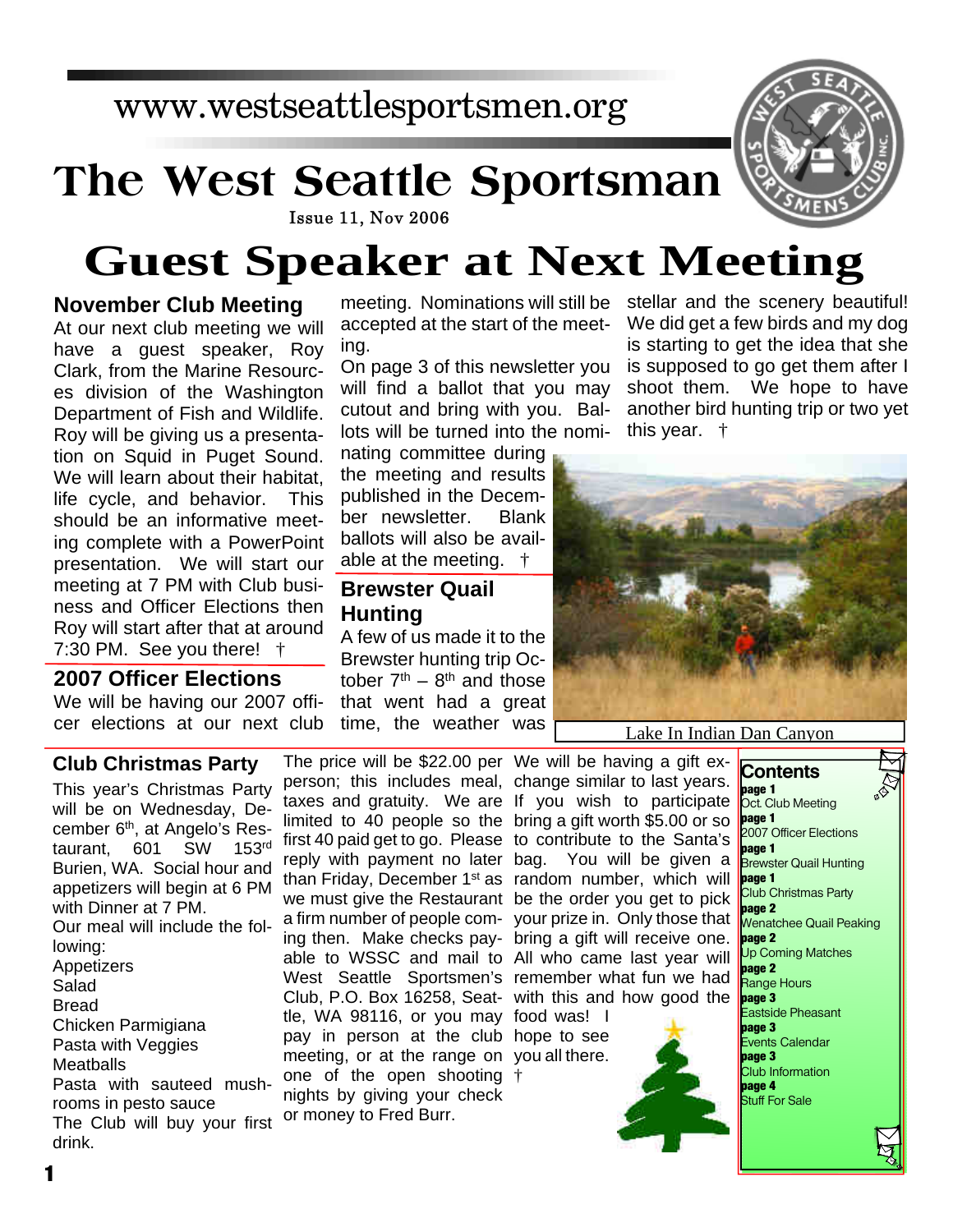# www.westseattlesportsmen.org

# **The West Seattle Sportsman**



#### **Issue 11, Nov 2006**

# **Guest Speaker at Next Meeting**

## **November Club Meeting**

At our next club meeting we will have a guest speaker, Roy Clark, from the Marine Resources division of the Washington Department of Fish and Wildlife. Roy will be giving us a presentation on Squid in Puget Sound. We will learn about their habitat, life cycle, and behavior. This should be an informative meeting complete with a PowerPoint presentation. We will start our meeting at 7 PM with Club business and Officer Elections then Roy will start after that at around 7:30 PM. See you there!  $\dagger$ 

### **2007 Officer Elections**

**Club Christmas Party**

We will be having our 2007 officer elections at our next club accepted at the start of the meeting.

On page 3 of this newsletter you will find a ballot that you may cutout and bring with you. Ballots will be turned into the nomi-

nating committee during the meeting and results published in the December newsletter. Blank ballots will also be available at the meeting. †

## **Brewster Quail Hunting**

A few of us made it to the Brewster hunting trip October  $7<sup>th</sup> - 8<sup>th</sup>$  and those that went had a great time, the weather was

meeting. Nominations will still be stellar and the scenery beautiful! We did get a few birds and my dog is starting to get the idea that she is supposed to go get them after I shoot them. We hope to have another bird hunting trip or two yet this year. †



#### Lake In Indian Dan Canyon

This year's Christmas Party will be on Wednesday, December 6<sup>th</sup>, at Angelo's Res-<br>taurant. 601 SW 153rd taurant. 601 SW Burien, WA. Social hour and appetizers will begin at 6 PM with Dinner at 7 PM. Our meal will include the following: Appetizers Salad Bread Chicken Parmigiana Pasta with Veggies **Meatballs** Pasta with sauteed mushrooms in pesto sauce The Club will buy your first drink.

person; this includes meal, change similar to last years. taxes and gratuity. We are If you wish to participate limited to 40 people so the bring a gift worth \$5.00 or so first 40 paid get to go. Please to contribute to the Santa's reply with payment no later bag. You will be given a than Friday, December 1st as random number, which will we must give the Restaurant be the order you get to pick a firm number of people com-your prize in. Only those that ing then. Make checks pay-bring a gift will receive one. able to WSSC and mail to All who came last year will West Seattle Sportsmen's remember what fun we had Club, P.O. Box 16258, Seat-with this and how good the tle, WA 98116, or you may food was! I pay in person at the club hope to see meeting, or at the range on you all there. one of the open shooting † nights by giving your check or money to Fred Burr.

The price will be \$22.00 per We will be having a gift ex-



**Contents page 1** Oct. Club Meeting **bage 1** 2007 Officer Elections **page 1** Brewster Quail Hunting **page 1** Club Christmas Party **page 2** Wenatchee Quail Peaking **page 2** Up Coming Matches **page 2** Range Hours **page 3** Eastside Pheasant **page 3** Events Calendar **page 3** Club Information **page 4** Stuff For Sale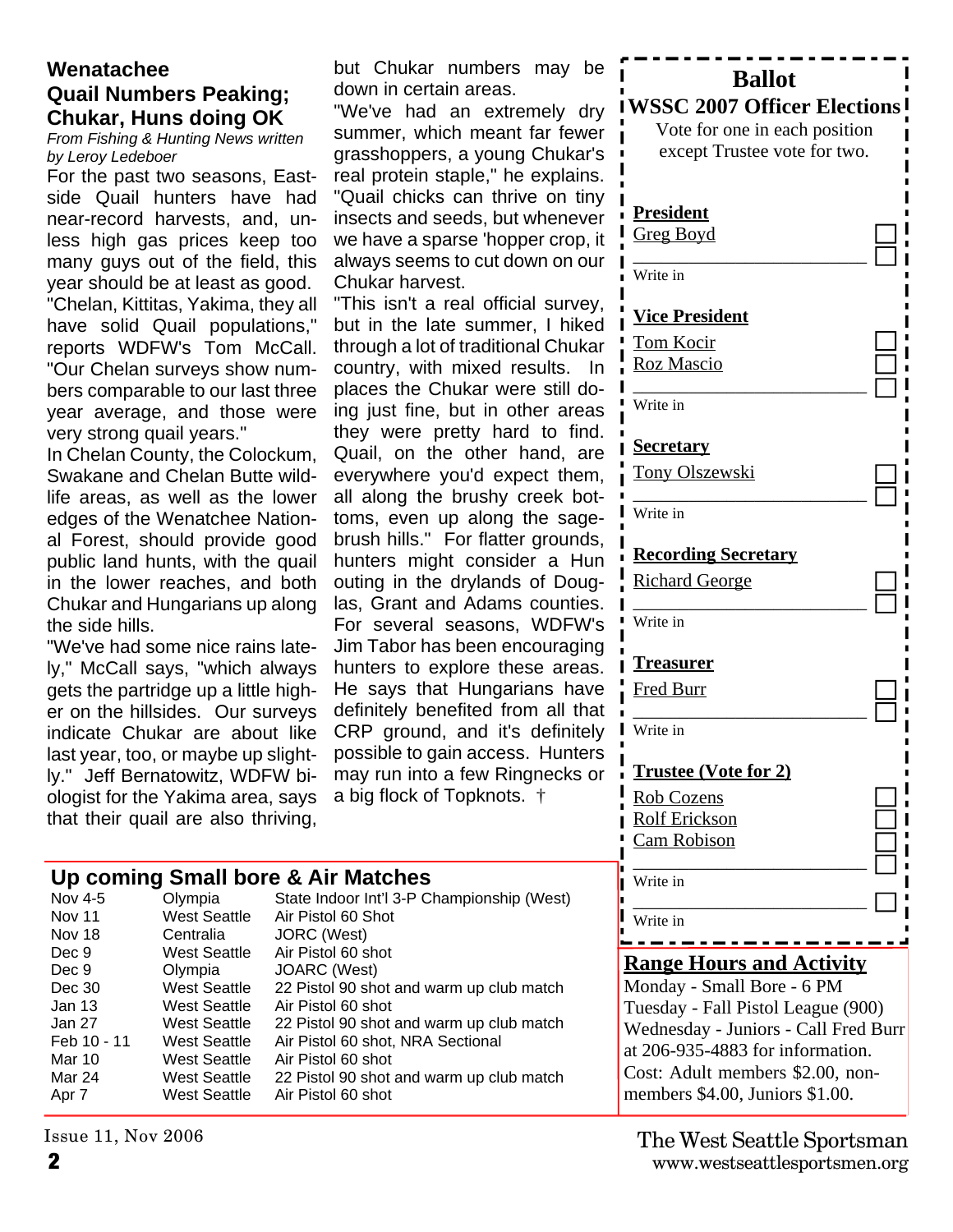## **Wenatachee Quail Numbers Peaking; Chukar, Huns doing OK**

*From Fishing & Hunting News written by Leroy Ledeboer*

For the past two seasons, Eastside Quail hunters have had near-record harvests, and, unless high gas prices keep too many guys out of the field, this year should be at least as good. "Chelan, Kittitas, Yakima, they all have solid Quail populations," reports WDFW's Tom McCall. "Our Chelan surveys show numbers comparable to our last three year average, and those were very strong quail years."

In Chelan County, the Colockum, Swakane and Chelan Butte wildlife areas, as well as the lower edges of the Wenatchee National Forest, should provide good public land hunts, with the quail in the lower reaches, and both Chukar and Hungarians up along the side hills.

"We've had some nice rains lately," McCall says, "which always gets the partridge up a little higher on the hillsides. Our surveys indicate Chukar are about like last year, too, or maybe up slightly." Jeff Bernatowitz, WDFW biologist for the Yakima area, says that their quail are also thriving, but Chukar numbers may be down in certain areas.

"We've had an extremely dr summer, which meant far fewer grasshoppers, a young Chukar's real protein staple," he explains. "Quail chicks can thrive on tiny insects and seeds, but wheneve we have a sparse 'hopper crop, always seems to cut down on our Chukar harvest.

"This isn't a real official survey, but in the late summer, I hiked through a lot of traditional Chuka country, with mixed results. In places the Chukar were still doing just fine, but in other areas they were pretty hard to find. Quail, on the other hand, are everywhere you'd expect them, all along the brushy creek bottoms, even up along the sage brush hills." For flatter grounds, hunters might consider a Hun outing in the drylands of Douglas, Grant and Adams counties For several seasons, WDFW's Jim Tabor has been encouraging hunters to explore these areas He says that Hungarians have definitely benefited from all that CRP ground, and it's definitely possible to gain access. Hunters may run into a few Ringnecks or a big flock of Topknots. †

#### **Up coming Small bore & Air Matches**

| Nov 4-5       | Olympia             | State Indoor Int'l 3-P Championship (West) |
|---------------|---------------------|--------------------------------------------|
| <b>Nov 11</b> | <b>West Seattle</b> | Air Pistol 60 Shot                         |
| Nov 18        | Centralia           | JORC (West)                                |
| Dec 9         | West Seattle        | Air Pistol 60 shot                         |
| Dec 9         | Olympia             | JOARC (West)                               |
| Dec 30        | <b>West Seattle</b> | 22 Pistol 90 shot and warm up club match   |
| Jan 13        | West Seattle        | Air Pistol 60 shot                         |
| Jan 27        | West Seattle        | 22 Pistol 90 shot and warm up club match   |
| Feb 10 - 11   | West Seattle        | Air Pistol 60 shot, NRA Sectional          |
| Mar 10        | West Seattle        | Air Pistol 60 shot                         |
| Mar 24        | West Seattle        | 22 Pistol 90 shot and warm up club match   |
| Apr 7         | West Seattle        | Air Pistol 60 shot                         |
|               |                     |                                            |

Issue 11, Nov 2006

| е                         | Π<br><b>Ballot</b>                   |  |  |  |  |  |  |
|---------------------------|--------------------------------------|--|--|--|--|--|--|
| y                         | <b>WSSC 2007 Officer Elections</b>   |  |  |  |  |  |  |
| эr                        | Vote for one in each position        |  |  |  |  |  |  |
| 's                        | except Trustee vote for two.         |  |  |  |  |  |  |
| 3.                        |                                      |  |  |  |  |  |  |
| У                         |                                      |  |  |  |  |  |  |
| эr                        | <b>President</b>                     |  |  |  |  |  |  |
| it                        | <u>Greg Boyd</u>                     |  |  |  |  |  |  |
| ١r                        | Write in                             |  |  |  |  |  |  |
|                           |                                      |  |  |  |  |  |  |
| Ι,                        | <b>Vice President</b>                |  |  |  |  |  |  |
| d                         | Tom Kocir                            |  |  |  |  |  |  |
| ar                        | <b>Roz Mascio</b>                    |  |  |  |  |  |  |
| n<br>)-                   |                                      |  |  |  |  |  |  |
| S                         | Write in                             |  |  |  |  |  |  |
| J.                        |                                      |  |  |  |  |  |  |
| e                         | <u>Secretary</u>                     |  |  |  |  |  |  |
| ٦,                        | <u>Tony Olszewski</u>                |  |  |  |  |  |  |
| t-                        |                                      |  |  |  |  |  |  |
| $\div$                    | Write in                             |  |  |  |  |  |  |
| 3,                        | <b>Recording Secretary</b>           |  |  |  |  |  |  |
| n                         |                                      |  |  |  |  |  |  |
| J-                        | <b>Richard George</b>                |  |  |  |  |  |  |
| s.<br>'s                  | Write in                             |  |  |  |  |  |  |
| g                         | I                                    |  |  |  |  |  |  |
| $\overline{\mathbf{5}}$ . | <u>Treasurer</u>                     |  |  |  |  |  |  |
| е                         | <b>Fred Burr</b>                     |  |  |  |  |  |  |
| at                        |                                      |  |  |  |  |  |  |
| ly                        | Write in                             |  |  |  |  |  |  |
| 'S                        |                                      |  |  |  |  |  |  |
| λľ                        | <b>Trustee (Vote for 2)</b>          |  |  |  |  |  |  |
|                           | <b>Rob Cozens</b>                    |  |  |  |  |  |  |
|                           | <b>Rolf Erickson</b>                 |  |  |  |  |  |  |
|                           | <b>Cam Robison</b>                   |  |  |  |  |  |  |
|                           | Write in                             |  |  |  |  |  |  |
|                           | П                                    |  |  |  |  |  |  |
|                           | Write in                             |  |  |  |  |  |  |
|                           |                                      |  |  |  |  |  |  |
|                           | <b>Range Hours and Activity</b>      |  |  |  |  |  |  |
|                           | Monday - Small Bore - 6 PM           |  |  |  |  |  |  |
|                           | Tuesday - Fall Pistol League (900)   |  |  |  |  |  |  |
|                           | Wednesday - Juniors - Call Fred Burr |  |  |  |  |  |  |
|                           | at 206-935-4883 for information.     |  |  |  |  |  |  |
|                           | Cost: Adult members \$2.00, non-     |  |  |  |  |  |  |

members \$4.00, Juniors \$1.00.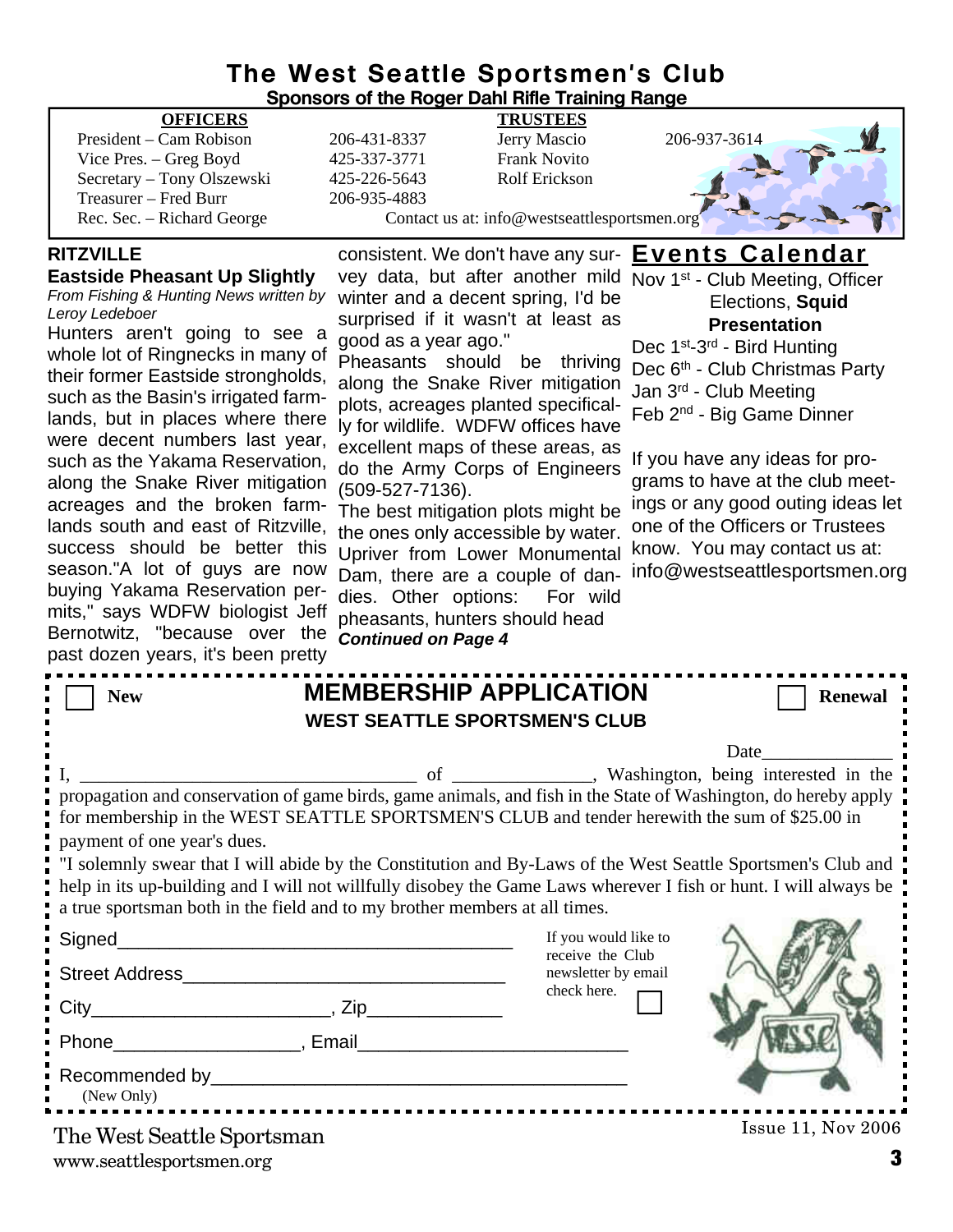# **The West Seattle Sportsmen's Club**

| <b>Sponsors of the Roger Dahl Rifle Training Range</b>                                                                                                                                                                           |                                                            |                                                           |                                                     |                                   |  |  |  |  |
|----------------------------------------------------------------------------------------------------------------------------------------------------------------------------------------------------------------------------------|------------------------------------------------------------|-----------------------------------------------------------|-----------------------------------------------------|-----------------------------------|--|--|--|--|
| <b>OFFICERS</b>                                                                                                                                                                                                                  |                                                            | <b>TRUSTEES</b>                                           |                                                     |                                   |  |  |  |  |
| President – Cam Robison                                                                                                                                                                                                          | 206-431-8337                                               | Jerry Mascio                                              | 206-937-3614                                        |                                   |  |  |  |  |
| Vice Pres. – Greg Boyd                                                                                                                                                                                                           | 425-337-3771                                               | <b>Frank Novito</b>                                       |                                                     |                                   |  |  |  |  |
| Secretary - Tony Olszewski<br>Treasurer - Fred Burr                                                                                                                                                                              | 425-226-5643<br>206-935-4883                               | <b>Rolf Erickson</b>                                      |                                                     |                                   |  |  |  |  |
| Rec. Sec. - Richard George                                                                                                                                                                                                       |                                                            | Contact us at: info@westseattlesportsmen.org              |                                                     |                                   |  |  |  |  |
|                                                                                                                                                                                                                                  |                                                            |                                                           |                                                     |                                   |  |  |  |  |
| <b>RITZVILLE</b>                                                                                                                                                                                                                 |                                                            | consistent. We don't have any sur- <b>Events Calendar</b> |                                                     |                                   |  |  |  |  |
| <b>Eastside Pheasant Up Slightly</b>                                                                                                                                                                                             |                                                            | vey data, but after another mild                          | Nov 1 <sup>st</sup> - Club Meeting, Officer         |                                   |  |  |  |  |
| From Fishing & Hunting News written by                                                                                                                                                                                           |                                                            | winter and a decent spring, I'd be                        |                                                     | Elections, Squid                  |  |  |  |  |
| Leroy Ledeboer                                                                                                                                                                                                                   |                                                            | surprised if it wasn't at least as                        | <b>Presentation</b>                                 |                                   |  |  |  |  |
| Hunters aren't going to see a<br>whole lot of Ringnecks in many of                                                                                                                                                               | good as a year ago."                                       |                                                           | Dec 1 <sup>st</sup> -3 <sup>rd</sup> - Bird Hunting |                                   |  |  |  |  |
| their former Eastside strongholds,                                                                                                                                                                                               |                                                            | Pheasants should be thriving                              | Dec 6 <sup>th</sup> - Club Christmas Party          |                                   |  |  |  |  |
| such as the Basin's irrigated farm-                                                                                                                                                                                              | along the Snake River mitigation<br>Jan 3rd - Club Meeting |                                                           |                                                     |                                   |  |  |  |  |
| lands, but in places where there                                                                                                                                                                                                 |                                                            | plots, acreages planted specifical-                       | Feb 2 <sup>nd</sup> - Big Game Dinner               |                                   |  |  |  |  |
| were decent numbers last year,                                                                                                                                                                                                   |                                                            | ly for wildlife. WDFW offices have                        |                                                     |                                   |  |  |  |  |
| such as the Yakama Reservation,                                                                                                                                                                                                  |                                                            | excellent maps of these areas, as                         | If you have any ideas for pro-                      |                                   |  |  |  |  |
| along the Snake River mitigation                                                                                                                                                                                                 |                                                            | do the Army Corps of Engineers                            | grams to have at the club meet-                     |                                   |  |  |  |  |
| acreages and the broken farm-                                                                                                                                                                                                    | (509-527-7136).                                            |                                                           |                                                     | ings or any good outing ideas let |  |  |  |  |
| lands south and east of Ritzville,                                                                                                                                                                                               |                                                            | The best mitigation plots might be                        | one of the Officers or Trustees                     |                                   |  |  |  |  |
| success should be better this                                                                                                                                                                                                    |                                                            | the ones only accessible by water.                        | know. You may contact us at:                        |                                   |  |  |  |  |
| season."A lot of guys are now                                                                                                                                                                                                    |                                                            | Upriver from Lower Monumental                             |                                                     | info@westseattlesportsmen.org     |  |  |  |  |
| buying Yakama Reservation per-                                                                                                                                                                                                   |                                                            | Dam, there are a couple of dan-                           |                                                     |                                   |  |  |  |  |
| mits," says WDFW biologist Jeff                                                                                                                                                                                                  | dies. Other options:                                       | For wild<br>pheasants, hunters should head                |                                                     |                                   |  |  |  |  |
| Bernotwitz, "because over the                                                                                                                                                                                                    | <b>Continued on Page 4</b>                                 |                                                           |                                                     |                                   |  |  |  |  |
| past dozen years, it's been pretty                                                                                                                                                                                               |                                                            |                                                           |                                                     |                                   |  |  |  |  |
|                                                                                                                                                                                                                                  |                                                            |                                                           |                                                     |                                   |  |  |  |  |
| <b>New</b>                                                                                                                                                                                                                       |                                                            | <b>MEMBERSHIP APPLICATION</b>                             |                                                     | <b>Renewal</b>                    |  |  |  |  |
|                                                                                                                                                                                                                                  |                                                            | <b>WEST SEATTLE SPORTSMEN'S CLUB</b>                      |                                                     |                                   |  |  |  |  |
|                                                                                                                                                                                                                                  |                                                            |                                                           | <b>Date</b>                                         |                                   |  |  |  |  |
|                                                                                                                                                                                                                                  | of                                                         |                                                           |                                                     |                                   |  |  |  |  |
| Washington, being interested in the<br>propagation and conservation of game birds, game animals, and fish in the State of Washington, do hereby apply                                                                            |                                                            |                                                           |                                                     |                                   |  |  |  |  |
|                                                                                                                                                                                                                                  |                                                            |                                                           |                                                     |                                   |  |  |  |  |
| for membership in the WEST SEATTLE SPORTSMEN'S CLUB and tender herewith the sum of \$25.00 in<br>payment of one year's dues.                                                                                                     |                                                            |                                                           |                                                     |                                   |  |  |  |  |
|                                                                                                                                                                                                                                  |                                                            |                                                           |                                                     |                                   |  |  |  |  |
| "I solemnly swear that I will abide by the Constitution and By-Laws of the West Seattle Sportsmen's Club and<br>help in its up-building and I will not willfully disobey the Game Laws wherever I fish or hunt. I will always be |                                                            |                                                           |                                                     |                                   |  |  |  |  |
| a true sportsman both in the field and to my brother members at all times.                                                                                                                                                       |                                                            |                                                           |                                                     |                                   |  |  |  |  |
|                                                                                                                                                                                                                                  |                                                            |                                                           |                                                     |                                   |  |  |  |  |
| Signed_                                                                                                                                                                                                                          |                                                            | If you would like to<br>receive the Club                  |                                                     |                                   |  |  |  |  |
|                                                                                                                                                                                                                                  |                                                            | newsletter by email                                       |                                                     |                                   |  |  |  |  |
|                                                                                                                                                                                                                                  |                                                            | check here.                                               |                                                     |                                   |  |  |  |  |
|                                                                                                                                                                                                                                  |                                                            |                                                           |                                                     |                                   |  |  |  |  |
|                                                                                                                                                                                                                                  |                                                            |                                                           |                                                     |                                   |  |  |  |  |
|                                                                                                                                                                                                                                  |                                                            |                                                           |                                                     |                                   |  |  |  |  |
|                                                                                                                                                                                                                                  |                                                            |                                                           |                                                     |                                   |  |  |  |  |
| (New Only)                                                                                                                                                                                                                       |                                                            |                                                           |                                                     |                                   |  |  |  |  |
|                                                                                                                                                                                                                                  |                                                            |                                                           |                                                     |                                   |  |  |  |  |

www.seattlesportsmen.org **3**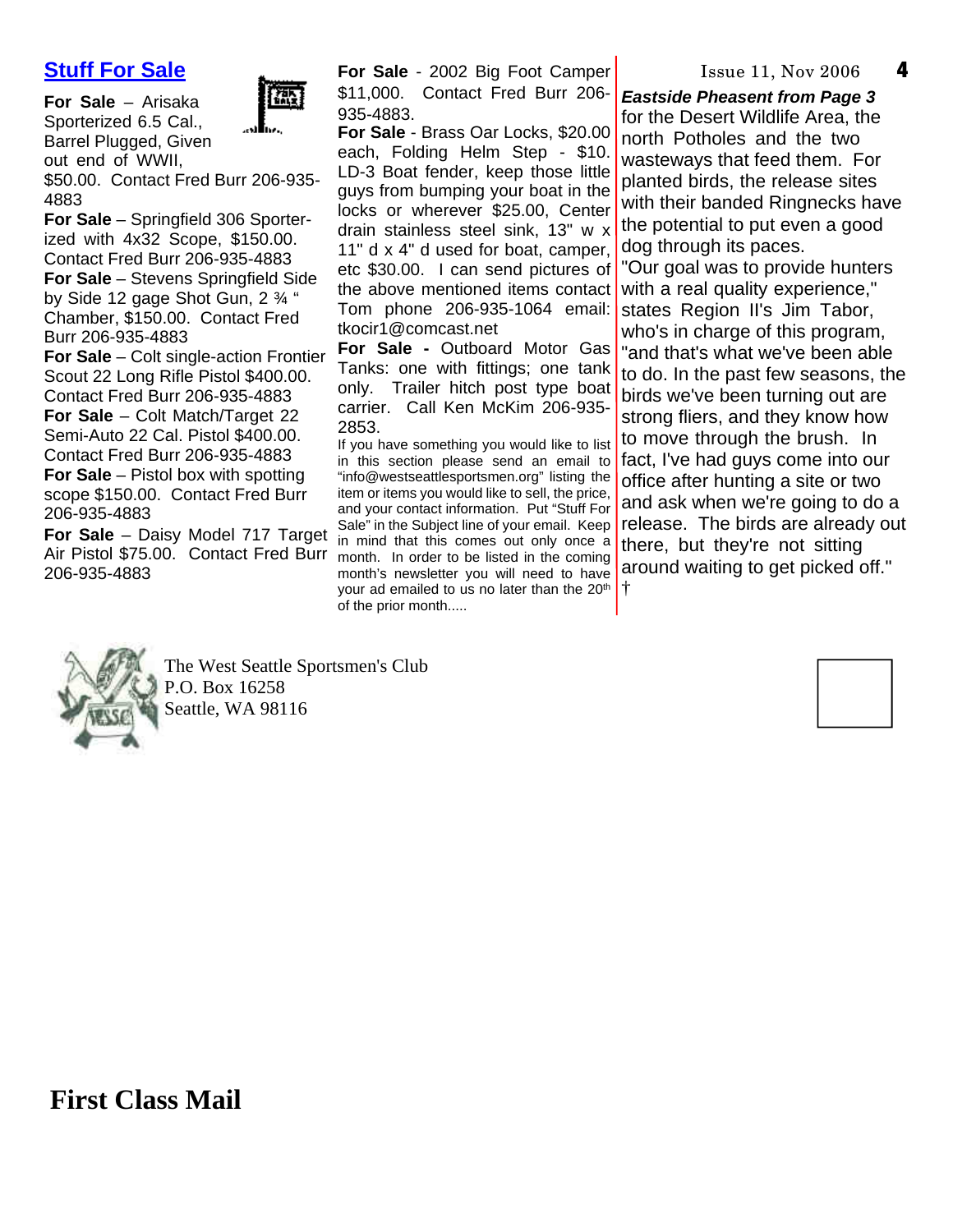# **Stuff For Sale**

**For Sale** – Arisaka Sporterized 6.5 Cal., Barrel Plugged, Given out end of WWII,



\$50.00. Contact Fred Burr 206-935- 4883

**For Sale** – Springfield 306 Sporterized with 4x32 Scope, \$150.00. Contact Fred Burr 206-935-4883 **For Sale** – Stevens Springfield Side by Side 12 gage Shot Gun, 2 ¾ " Chamber, \$150.00. Contact Fred Burr 206-935-4883

**For Sale** – Colt single-action Frontier Scout 22 Long Rifle Pistol \$400.00. Contact Fred Burr 206-935-4883 **For Sale** – Colt Match/Target 22 Semi-Auto 22 Cal. Pistol \$400.00. Contact Fred Burr 206-935-4883

**For Sale** – Pistol box with spotting scope \$150.00. Contact Fred Burr 206-935-4883

**For Sale** – Daisy Model 717 Target Air Pistol \$75.00. Contact Fred Burr month. In order to be listed in the coming 206-935-4883

**For Sale** - 2002 Big Foot Camper \$11,000. Contact Fred Burr 206- 935-4883.

**For Sale** - Brass Oar Locks, \$20.00 each, Folding Helm Step - \$10. LD-3 Boat fender, keep those little guys from bumping your boat in the locks or wherever \$25.00, Center drain stainless steel sink, 13" w x 11" d x 4" d used for boat, camper, etc \$30.00. I can send pictures of the above mentioned items contact Tom phone 206-935-1064 email: tkocir1@comcast.net

**For Sale -** Outboard Motor Gas Tanks: one with fittings; one tank only. Trailer hitch post type boat carrier. Call Ken McKim 206-935- 2853.

If you have something you would like to list in this section please send an email to "info@westseattlesportsmen.org" listing the item or items you would like to sell, the price, and your contact information. Put "Stuff For Sale" in the Subject line of your email. Keep in mind that this comes out only once a month's newsletter you will need to have your ad emailed to us no later than the 20<sup>th</sup> of the prior month.....

Issue 11, Nov 2006

**4**

*Eastside Pheasent from Page 3*

for the Desert Wildlife Area, the north Potholes and the two wasteways that feed them. For planted birds, the release sites with their banded Ringnecks have the potential to put even a good dog through its paces. "Our goal was to provide hunters with a real quality experience," states Region II's Jim Tabor, who's in charge of this program, "and that's what we've been able to do. In the past few seasons, the birds we've been turning out are strong fliers, and they know how to move through the brush. In fact, I've had guys come into our office after hunting a site or two and ask when we're going to do a release. The birds are already out

there, but they're not sitting around waiting to get picked off."

†

The West Seattle Sportsmen's Club P.O. Box 16258 Seattle, WA 98116



**First Class Mail**